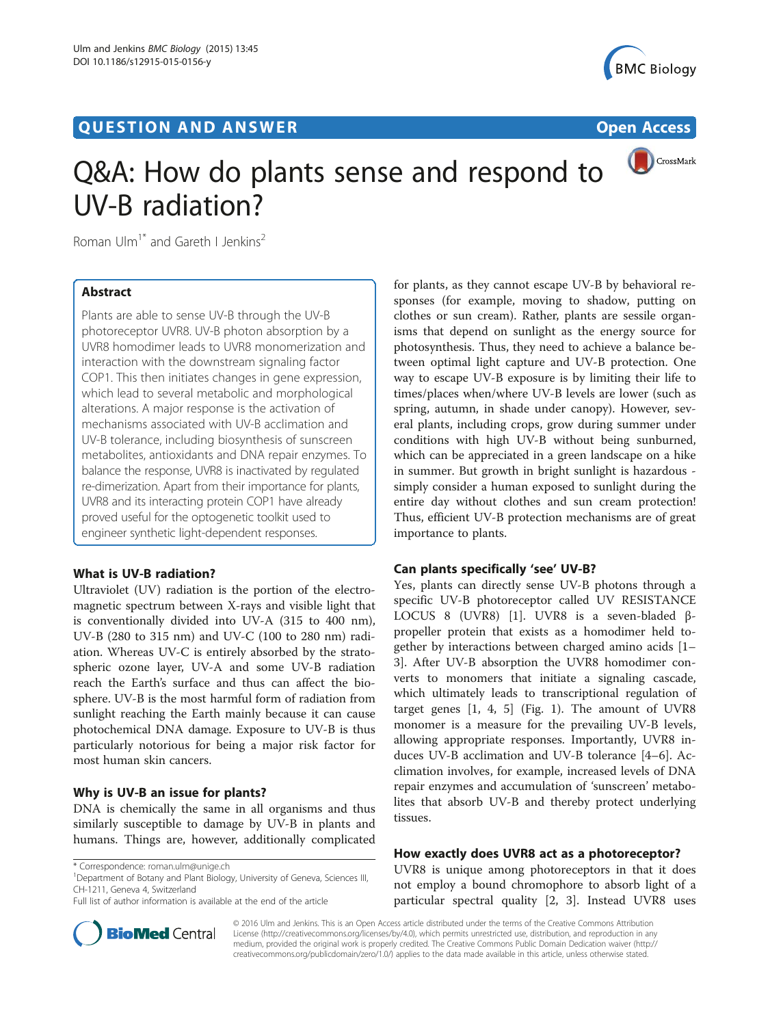# **QUESTION AND ANSWER CONSUMER CONSUMER CONSUMER CONSUMER**





# Q&A: How do plants sense and respond to UV-B radiation?

Roman Ulm<sup>1\*</sup> and Gareth I Jenkins<sup>2</sup>

# Abstract

Plants are able to sense UV-B through the UV-B photoreceptor UVR8. UV-B photon absorption by a UVR8 homodimer leads to UVR8 monomerization and interaction with the downstream signaling factor COP1. This then initiates changes in gene expression, which lead to several metabolic and morphological alterations. A major response is the activation of mechanisms associated with UV-B acclimation and UV-B tolerance, including biosynthesis of sunscreen metabolites, antioxidants and DNA repair enzymes. To balance the response, UVR8 is inactivated by regulated re-dimerization. Apart from their importance for plants, UVR8 and its interacting protein COP1 have already proved useful for the optogenetic toolkit used to engineer synthetic light-dependent responses.

# What is UV-B radiation?

Ultraviolet (UV) radiation is the portion of the electromagnetic spectrum between X-rays and visible light that is conventionally divided into UV-A (315 to 400 nm), UV-B (280 to 315 nm) and UV-C (100 to 280 nm) radiation. Whereas UV-C is entirely absorbed by the stratospheric ozone layer, UV-A and some UV-B radiation reach the Earth's surface and thus can affect the biosphere. UV-B is the most harmful form of radiation from sunlight reaching the Earth mainly because it can cause photochemical DNA damage. Exposure to UV-B is thus particularly notorious for being a major risk factor for most human skin cancers.

# Why is UV-B an issue for plants?

DNA is chemically the same in all organisms and thus similarly susceptible to damage by UV-B in plants and humans. Things are, however, additionally complicated

<sup>1</sup>Department of Botany and Plant Biology, University of Geneva, Sciences III, CH-1211, Geneva 4, Switzerland

Full list of author information is available at the end of the article



for plants, as they cannot escape UV-B by behavioral responses (for example, moving to shadow, putting on clothes or sun cream). Rather, plants are sessile organisms that depend on sunlight as the energy source for photosynthesis. Thus, they need to achieve a balance between optimal light capture and UV-B protection. One way to escape UV-B exposure is by limiting their life to times/places when/where UV-B levels are lower (such as spring, autumn, in shade under canopy). However, several plants, including crops, grow during summer under conditions with high UV-B without being sunburned, which can be appreciated in a green landscape on a hike in summer. But growth in bright sunlight is hazardous simply consider a human exposed to sunlight during the entire day without clothes and sun cream protection! Thus, efficient UV-B protection mechanisms are of great importance to plants.

# Can plants specifically 'see' UV-B?

Yes, plants can directly sense UV-B photons through a specific UV-B photoreceptor called UV RESISTANCE LOCUS 8 (UVR8) [[1\]](#page-4-0). UVR8 is a seven-bladed βpropeller protein that exists as a homodimer held together by interactions between charged amino acids [[1](#page-4-0)– [3\]](#page-4-0). After UV-B absorption the UVR8 homodimer converts to monomers that initiate a signaling cascade, which ultimately leads to transcriptional regulation of target genes  $[1, 4, 5]$  $[1, 4, 5]$  $[1, 4, 5]$  $[1, 4, 5]$  (Fig. [1](#page-1-0)). The amount of UVR8 monomer is a measure for the prevailing UV-B levels, allowing appropriate responses. Importantly, UVR8 induces UV-B acclimation and UV-B tolerance [\[4](#page-4-0)–[6\]](#page-4-0). Acclimation involves, for example, increased levels of DNA repair enzymes and accumulation of 'sunscreen' metabolites that absorb UV-B and thereby protect underlying tissues.

# How exactly does UVR8 act as a photoreceptor?

UVR8 is unique among photoreceptors in that it does not employ a bound chromophore to absorb light of a particular spectral quality [[2, 3](#page-4-0)]. Instead UVR8 uses

© 2016 Ulm and Jenkins. This is an Open Access article distributed under the terms of the Creative Commons Attribution License (<http://creativecommons.org/licenses/by/4.0>), which permits unrestricted use, distribution, and reproduction in any medium, provided the original work is properly credited. The Creative Commons Public Domain Dedication waiver [\(http://](http://creativecommons.org/publicdomain/zero/1.0/) [creativecommons.org/publicdomain/zero/1.0/\)](http://creativecommons.org/publicdomain/zero/1.0/) applies to the data made available in this article, unless otherwise stated.

<sup>\*</sup> Correspondence: [roman.ulm@unige.ch](mailto:roman.ulm@unige.ch) <sup>1</sup>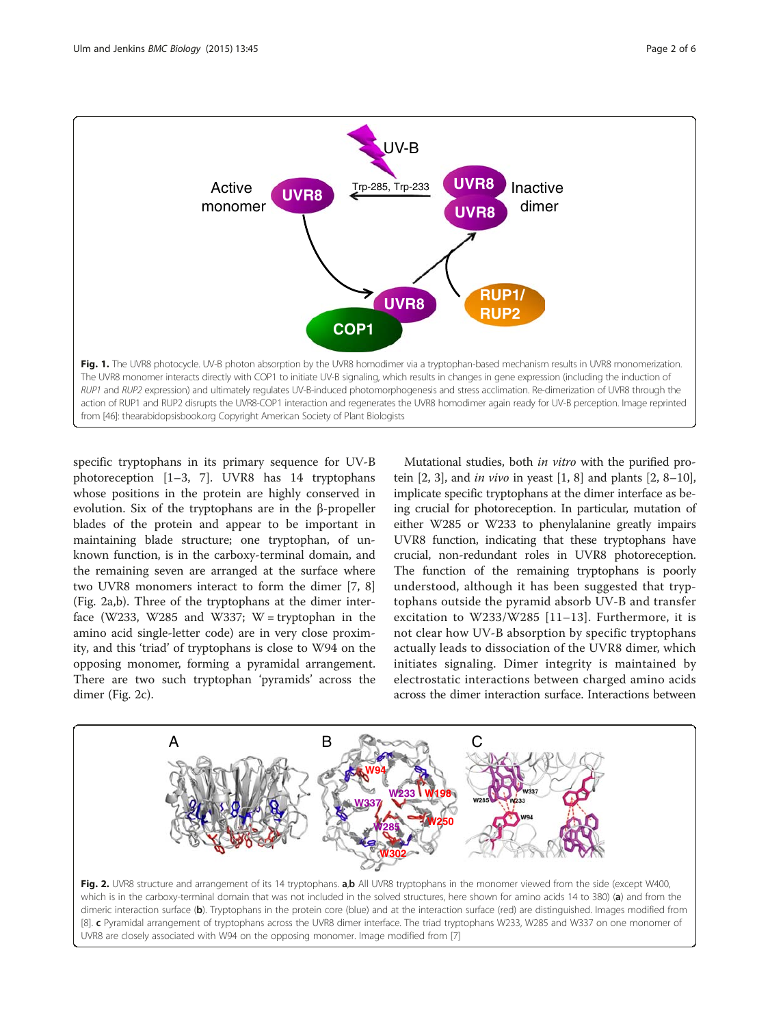<span id="page-1-0"></span>

specific tryptophans in its primary sequence for UV-B photoreception [\[1](#page-4-0)–[3](#page-4-0), [7](#page-4-0)]. UVR8 has 14 tryptophans whose positions in the protein are highly conserved in evolution. Six of the tryptophans are in the β-propeller blades of the protein and appear to be important in maintaining blade structure; one tryptophan, of unknown function, is in the carboxy-terminal domain, and the remaining seven are arranged at the surface where two UVR8 monomers interact to form the dimer [\[7](#page-4-0), [8](#page-4-0)] (Fig. 2a,b). Three of the tryptophans at the dimer interface (W233, W285 and W337; W = tryptophan in the amino acid single-letter code) are in very close proximity, and this 'triad' of tryptophans is close to W94 on the opposing monomer, forming a pyramidal arrangement. There are two such tryptophan 'pyramids' across the dimer (Fig. 2c).

Mutational studies, both *in vitro* with the purified protein  $[2, 3]$  $[2, 3]$  $[2, 3]$ , and *in vivo* in yeast  $[1, 8]$  $[1, 8]$  and plants  $[2, 8-10]$  $[2, 8-10]$  $[2, 8-10]$  $[2, 8-10]$  $[2, 8-10]$ , implicate specific tryptophans at the dimer interface as being crucial for photoreception. In particular, mutation of either W285 or W233 to phenylalanine greatly impairs UVR8 function, indicating that these tryptophans have crucial, non-redundant roles in UVR8 photoreception. The function of the remaining tryptophans is poorly understood, although it has been suggested that tryptophans outside the pyramid absorb UV-B and transfer excitation to W233/W285 [[11](#page-4-0)–[13\]](#page-4-0). Furthermore, it is not clear how UV-B absorption by specific tryptophans actually leads to dissociation of the UVR8 dimer, which initiates signaling. Dimer integrity is maintained by electrostatic interactions between charged amino acids across the dimer interaction surface. Interactions between



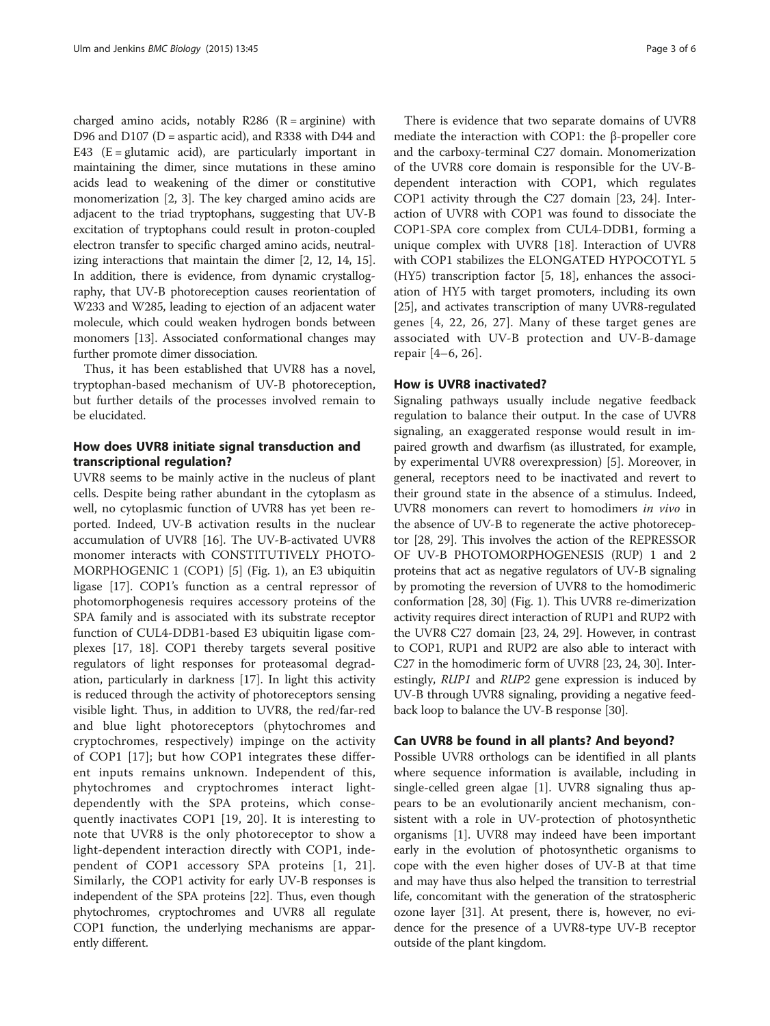charged amino acids, notably  $R286$  ( $R = \text{arginine}$ ) with D96 and D107 (D = aspartic acid), and R338 with D44 and E43 ( $E =$  glutamic acid), are particularly important in maintaining the dimer, since mutations in these amino acids lead to weakening of the dimer or constitutive monomerization [[2, 3](#page-4-0)]. The key charged amino acids are adjacent to the triad tryptophans, suggesting that UV-B excitation of tryptophans could result in proton-coupled electron transfer to specific charged amino acids, neutralizing interactions that maintain the dimer [[2](#page-4-0), [12, 14](#page-4-0), [15](#page-4-0)]. In addition, there is evidence, from dynamic crystallography, that UV-B photoreception causes reorientation of W233 and W285, leading to ejection of an adjacent water molecule, which could weaken hydrogen bonds between monomers [\[13\]](#page-4-0). Associated conformational changes may further promote dimer dissociation.

Thus, it has been established that UVR8 has a novel, tryptophan-based mechanism of UV-B photoreception, but further details of the processes involved remain to be elucidated.

# How does UVR8 initiate signal transduction and transcriptional regulation?

UVR8 seems to be mainly active in the nucleus of plant cells. Despite being rather abundant in the cytoplasm as well, no cytoplasmic function of UVR8 has yet been reported. Indeed, UV-B activation results in the nuclear accumulation of UVR8 [[16\]](#page-4-0). The UV-B-activated UVR8 monomer interacts with CONSTITUTIVELY PHOTO-MORPHOGENIC 1 (COP1) [[5\]](#page-4-0) (Fig. [1](#page-1-0)), an E3 ubiquitin ligase [[17\]](#page-4-0). COP1's function as a central repressor of photomorphogenesis requires accessory proteins of the SPA family and is associated with its substrate receptor function of CUL4-DDB1-based E3 ubiquitin ligase complexes [\[17](#page-4-0), [18](#page-4-0)]. COP1 thereby targets several positive regulators of light responses for proteasomal degradation, particularly in darkness [[17](#page-4-0)]. In light this activity is reduced through the activity of photoreceptors sensing visible light. Thus, in addition to UVR8, the red/far-red and blue light photoreceptors (phytochromes and cryptochromes, respectively) impinge on the activity of COP1 [\[17](#page-4-0)]; but how COP1 integrates these different inputs remains unknown. Independent of this, phytochromes and cryptochromes interact lightdependently with the SPA proteins, which consequently inactivates COP1 [\[19, 20](#page-4-0)]. It is interesting to note that UVR8 is the only photoreceptor to show a light-dependent interaction directly with COP1, independent of COP1 accessory SPA proteins [[1, 21](#page-4-0)]. Similarly, the COP1 activity for early UV-B responses is independent of the SPA proteins [\[22\]](#page-4-0). Thus, even though phytochromes, cryptochromes and UVR8 all regulate COP1 function, the underlying mechanisms are apparently different.

There is evidence that two separate domains of UVR8 mediate the interaction with COP1: the β-propeller core and the carboxy-terminal C27 domain. Monomerization of the UVR8 core domain is responsible for the UV-Bdependent interaction with COP1, which regulates COP1 activity through the C27 domain [[23, 24\]](#page-4-0). Interaction of UVR8 with COP1 was found to dissociate the COP1-SPA core complex from CUL4-DDB1, forming a unique complex with UVR8 [[18\]](#page-4-0). Interaction of UVR8 with COP1 stabilizes the ELONGATED HYPOCOTYL 5 (HY5) transcription factor [[5](#page-4-0), [18\]](#page-4-0), enhances the association of HY5 with target promoters, including its own [[25](#page-4-0)], and activates transcription of many UVR8-regulated genes [[4](#page-4-0), [22, 26, 27\]](#page-4-0). Many of these target genes are associated with UV-B protection and UV-B-damage repair [[4](#page-4-0)–[6](#page-4-0), [26](#page-4-0)].

## How is UVR8 inactivated?

Signaling pathways usually include negative feedback regulation to balance their output. In the case of UVR8 signaling, an exaggerated response would result in impaired growth and dwarfism (as illustrated, for example, by experimental UVR8 overexpression) [\[5](#page-4-0)]. Moreover, in general, receptors need to be inactivated and revert to their ground state in the absence of a stimulus. Indeed, UVR8 monomers can revert to homodimers in vivo in the absence of UV-B to regenerate the active photoreceptor [\[28, 29](#page-4-0)]. This involves the action of the REPRESSOR OF UV-B PHOTOMORPHOGENESIS (RUP) 1 and 2 proteins that act as negative regulators of UV-B signaling by promoting the reversion of UVR8 to the homodimeric conformation [\[28, 30](#page-4-0)] (Fig. [1](#page-1-0)). This UVR8 re-dimerization activity requires direct interaction of RUP1 and RUP2 with the UVR8 C27 domain [\[23](#page-4-0), [24](#page-4-0), [29](#page-4-0)]. However, in contrast to COP1, RUP1 and RUP2 are also able to interact with C27 in the homodimeric form of UVR8 [\[23, 24](#page-4-0), [30\]](#page-4-0). Interestingly, RUP1 and RUP2 gene expression is induced by UV-B through UVR8 signaling, providing a negative feedback loop to balance the UV-B response [\[30\]](#page-4-0).

### Can UVR8 be found in all plants? And beyond?

Possible UVR8 orthologs can be identified in all plants where sequence information is available, including in single-celled green algae [\[1](#page-4-0)]. UVR8 signaling thus appears to be an evolutionarily ancient mechanism, consistent with a role in UV-protection of photosynthetic organisms [[1\]](#page-4-0). UVR8 may indeed have been important early in the evolution of photosynthetic organisms to cope with the even higher doses of UV-B at that time and may have thus also helped the transition to terrestrial life, concomitant with the generation of the stratospheric ozone layer [\[31\]](#page-4-0). At present, there is, however, no evidence for the presence of a UVR8-type UV-B receptor outside of the plant kingdom.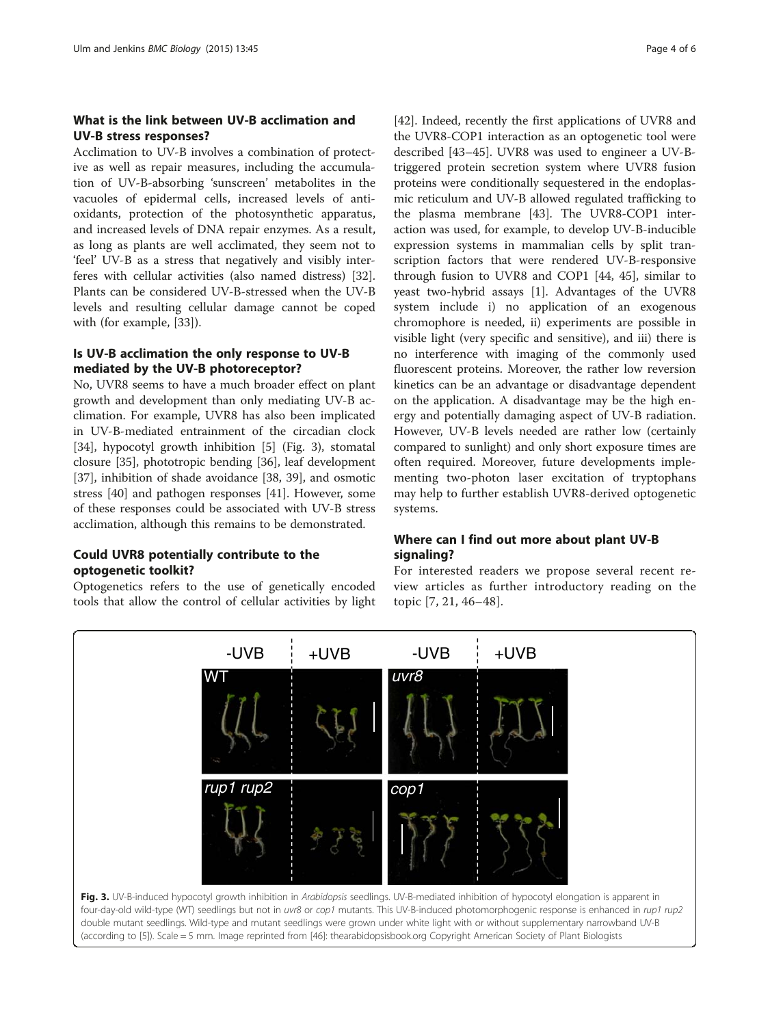# What is the link between UV-B acclimation and UV-B stress responses?

Acclimation to UV-B involves a combination of protective as well as repair measures, including the accumulation of UV-B-absorbing 'sunscreen' metabolites in the vacuoles of epidermal cells, increased levels of antioxidants, protection of the photosynthetic apparatus, and increased levels of DNA repair enzymes. As a result, as long as plants are well acclimated, they seem not to 'feel' UV-B as a stress that negatively and visibly interferes with cellular activities (also named distress) [\[32](#page-4-0)]. Plants can be considered UV-B-stressed when the UV-B levels and resulting cellular damage cannot be coped with (for example, [\[33](#page-4-0)]).

# Is UV-B acclimation the only response to UV-B mediated by the UV-B photoreceptor?

No, UVR8 seems to have a much broader effect on plant growth and development than only mediating UV-B acclimation. For example, UVR8 has also been implicated in UV-B-mediated entrainment of the circadian clock [[34\]](#page-4-0), hypocotyl growth inhibition [[5](#page-4-0)] (Fig. 3), stomatal closure [\[35](#page-4-0)], phototropic bending [[36\]](#page-4-0), leaf development [[37\]](#page-4-0), inhibition of shade avoidance [\[38, 39](#page-4-0)], and osmotic stress [[40\]](#page-4-0) and pathogen responses [[41\]](#page-4-0). However, some of these responses could be associated with UV-B stress acclimation, although this remains to be demonstrated.

# Could UVR8 potentially contribute to the optogenetic toolkit?

Optogenetics refers to the use of genetically encoded tools that allow the control of cellular activities by light

[[42\]](#page-5-0). Indeed, recently the first applications of UVR8 and the UVR8-COP1 interaction as an optogenetic tool were described [\[43](#page-5-0)–[45\]](#page-5-0). UVR8 was used to engineer a UV-Btriggered protein secretion system where UVR8 fusion proteins were conditionally sequestered in the endoplasmic reticulum and UV-B allowed regulated trafficking to the plasma membrane [\[43](#page-5-0)]. The UVR8-COP1 interaction was used, for example, to develop UV-B-inducible expression systems in mammalian cells by split transcription factors that were rendered UV-B-responsive through fusion to UVR8 and COP1 [\[44, 45\]](#page-5-0), similar to yeast two-hybrid assays [[1\]](#page-4-0). Advantages of the UVR8 system include i) no application of an exogenous chromophore is needed, ii) experiments are possible in visible light (very specific and sensitive), and iii) there is no interference with imaging of the commonly used fluorescent proteins. Moreover, the rather low reversion kinetics can be an advantage or disadvantage dependent on the application. A disadvantage may be the high energy and potentially damaging aspect of UV-B radiation. However, UV-B levels needed are rather low (certainly compared to sunlight) and only short exposure times are often required. Moreover, future developments implementing two-photon laser excitation of tryptophans may help to further establish UVR8-derived optogenetic systems.

# Where can I find out more about plant UV-B signaling?

For interested readers we propose several recent review articles as further introductory reading on the topic [[7](#page-4-0), [21](#page-4-0), [46](#page-5-0)–[48\]](#page-5-0).

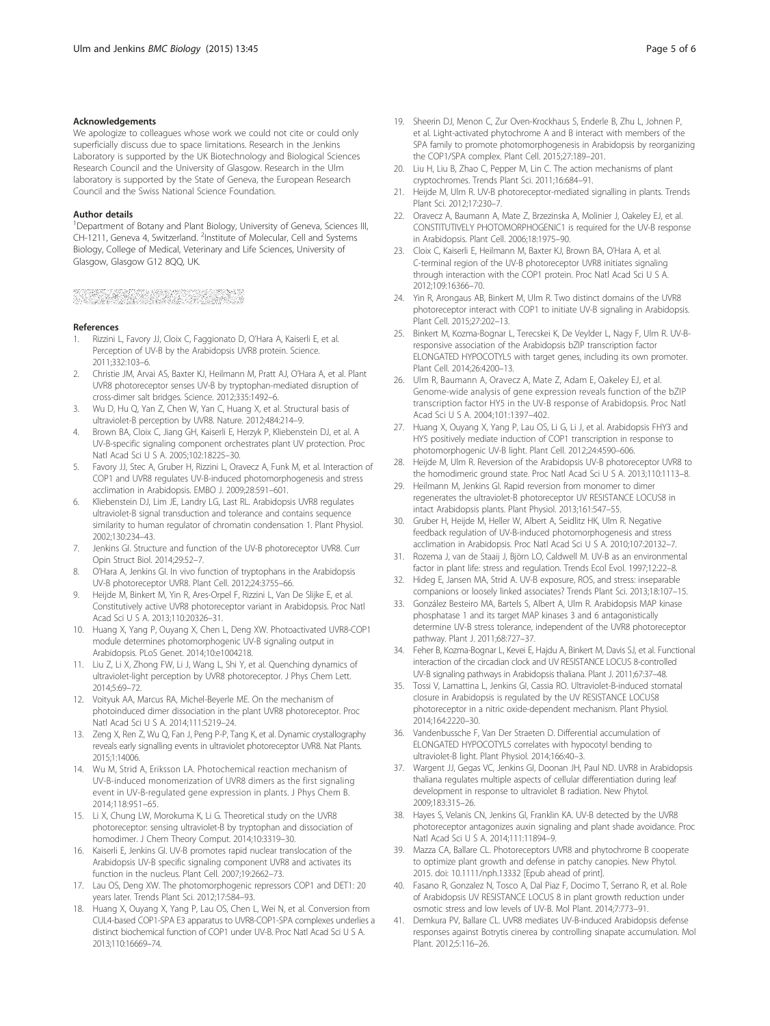#### <span id="page-4-0"></span>Acknowledgements

We apologize to colleagues whose work we could not cite or could only superficially discuss due to space limitations. Research in the Jenkins Laboratory is supported by the UK Biotechnology and Biological Sciences Research Council and the University of Glasgow. Research in the Ulm laboratory is supported by the State of Geneva, the European Research Council and the Swiss National Science Foundation.

#### Author details

<sup>1</sup>Department of Botany and Plant Biology, University of Geneva, Sciences III, CH-1211, Geneva 4, Switzerland. <sup>2</sup>Institute of Molecular, Cell and Systems Biology, College of Medical, Veterinary and Life Sciences, University of Glasgow, Glasgow G12 8QQ, UK.

# 

#### References

- Rizzini L, Favory JJ, Cloix C, Faggionato D, O'Hara A, Kaiserli E, et al. Perception of UV-B by the Arabidopsis UVR8 protein. Science. 2011;332:103–6.
- 2. Christie JM, Arvai AS, Baxter KJ, Heilmann M, Pratt AJ, O'Hara A, et al. Plant UVR8 photoreceptor senses UV-B by tryptophan-mediated disruption of cross-dimer salt bridges. Science. 2012;335:1492–6.
- 3. Wu D, Hu Q, Yan Z, Chen W, Yan C, Huang X, et al. Structural basis of ultraviolet-B perception by UVR8. Nature. 2012;484:214–9.
- 4. Brown BA, Cloix C, Jiang GH, Kaiserli E, Herzyk P, Kliebenstein DJ, et al. A UV-B-specific signaling component orchestrates plant UV protection. Proc Natl Acad Sci U S A. 2005;102:18225–30.
- 5. Favory JJ, Stec A, Gruber H, Rizzini L, Oravecz A, Funk M, et al. Interaction of COP1 and UVR8 regulates UV-B-induced photomorphogenesis and stress acclimation in Arabidopsis. EMBO J. 2009;28:591–601.
- 6. Kliebenstein DJ, Lim JE, Landry LG, Last RL. Arabidopsis UVR8 regulates ultraviolet-B signal transduction and tolerance and contains sequence similarity to human regulator of chromatin condensation 1. Plant Physiol. 2002;130:234–43.
- 7. Jenkins GI. Structure and function of the UV-B photoreceptor UVR8. Curr Opin Struct Biol. 2014;29:52–7.
- O'Hara A, Jenkins GI. In vivo function of tryptophans in the Arabidopsis UV-B photoreceptor UVR8. Plant Cell. 2012;24:3755–66.
- 9. Heijde M, Binkert M, Yin R, Ares-Orpel F, Rizzini L, Van De Slijke E, et al. Constitutively active UVR8 photoreceptor variant in Arabidopsis. Proc Natl Acad Sci U S A. 2013;110:20326–31.
- 10. Huang X, Yang P, Ouyang X, Chen L, Deng XW. Photoactivated UVR8-COP1 module determines photomorphogenic UV-B signaling output in Arabidopsis. PLoS Genet. 2014;10:e1004218.
- 11. Liu Z, Li X, Zhong FW, Li J, Wang L, Shi Y, et al. Quenching dynamics of ultraviolet-light perception by UVR8 photoreceptor. J Phys Chem Lett. 2014;5:69–72.
- 12. Voityuk AA, Marcus RA, Michel-Beyerle ME. On the mechanism of photoinduced dimer dissociation in the plant UVR8 photoreceptor. Proc Natl Acad Sci U S A. 2014;111:5219–24.
- 13. Zeng X, Ren Z, Wu Q, Fan J, Peng P-P, Tang K, et al. Dynamic crystallography reveals early signalling events in ultraviolet photoreceptor UVR8. Nat Plants. 2015;1:14006.
- 14. Wu M, Strid A, Eriksson LA. Photochemical reaction mechanism of UV-B-induced monomerization of UVR8 dimers as the first signaling event in UV-B-regulated gene expression in plants. J Phys Chem B. 2014;118:951–65.
- 15. Li X, Chung LW, Morokuma K, Li G. Theoretical study on the UVR8 photoreceptor: sensing ultraviolet-B by tryptophan and dissociation of homodimer. J Chem Theory Comput. 2014;10:3319–30.
- 16. Kaiserli E, Jenkins GI. UV-B promotes rapid nuclear translocation of the Arabidopsis UV-B specific signaling component UVR8 and activates its function in the nucleus. Plant Cell. 2007;19:2662–73.
- 17. Lau OS, Deng XW. The photomorphogenic repressors COP1 and DET1: 20 years later. Trends Plant Sci. 2012;17:584–93.
- 18. Huang X, Ouyang X, Yang P, Lau OS, Chen L, Wei N, et al. Conversion from CUL4-based COP1-SPA E3 apparatus to UVR8-COP1-SPA complexes underlies a distinct biochemical function of COP1 under UV-B. Proc Natl Acad Sci U S A. 2013;110:16669–74.
- 19. Sheerin DJ, Menon C, Zur Oven-Krockhaus S, Enderle B, Zhu L, Johnen P, et al. Light-activated phytochrome A and B interact with members of the SPA family to promote photomorphogenesis in Arabidopsis by reorganizing the COP1/SPA complex. Plant Cell. 2015;27:189–201.
- 20. Liu H, Liu B, Zhao C, Pepper M, Lin C. The action mechanisms of plant cryptochromes. Trends Plant Sci. 2011;16:684–91.
- 21. Heijde M, Ulm R. UV-B photoreceptor-mediated signalling in plants. Trends Plant Sci. 2012;17:230–7.
- 22. Oravecz A, Baumann A, Mate Z, Brzezinska A, Molinier J, Oakeley EJ, et al. CONSTITUTIVELY PHOTOMORPHOGENIC1 is required for the UV-B response in Arabidopsis. Plant Cell. 2006;18:1975–90.
- 23. Cloix C, Kaiserli E, Heilmann M, Baxter KJ, Brown BA, O'Hara A, et al. C-terminal region of the UV-B photoreceptor UVR8 initiates signaling through interaction with the COP1 protein. Proc Natl Acad Sci U S A. 2012;109:16366–70.
- 24. Yin R, Arongaus AB, Binkert M, Ulm R. Two distinct domains of the UVR8 photoreceptor interact with COP1 to initiate UV-B signaling in Arabidopsis. Plant Cell. 2015;27:202–13.
- 25. Binkert M, Kozma-Bognar L, Terecskei K, De Veylder L, Nagy F, Ulm R. UV-Bresponsive association of the Arabidopsis bZIP transcription factor ELONGATED HYPOCOTYL5 with target genes, including its own promoter. Plant Cell. 2014;26:4200–13.
- 26. Ulm R, Baumann A, Oravecz A, Mate Z, Adam E, Oakeley EJ, et al. Genome-wide analysis of gene expression reveals function of the bZIP transcription factor HY5 in the UV-B response of Arabidopsis. Proc Natl Acad Sci U S A. 2004;101:1397–402.
- 27. Huang X, Ouyang X, Yang P, Lau OS, Li G, Li J, et al. Arabidopsis FHY3 and HY5 positively mediate induction of COP1 transcription in response to photomorphogenic UV-B light. Plant Cell. 2012;24:4590–606.
- 28. Heijde M, Ulm R. Reversion of the Arabidopsis UV-B photoreceptor UVR8 to the homodimeric ground state. Proc Natl Acad Sci U S A. 2013;110:1113–8.
- Heilmann M, Jenkins GI. Rapid reversion from monomer to dimer regenerates the ultraviolet-B photoreceptor UV RESISTANCE LOCUS8 in intact Arabidopsis plants. Plant Physiol. 2013;161:547–55.
- 30. Gruber H, Heijde M, Heller W, Albert A, Seidlitz HK, Ulm R. Negative feedback regulation of UV-B-induced photomorphogenesis and stress acclimation in Arabidopsis. Proc Natl Acad Sci U S A. 2010;107:20132–7.
- 31. Rozema J, van de Staaij J, Björn LO, Caldwell M. UV-B as an environmental factor in plant life: stress and regulation. Trends Ecol Evol. 1997;12:22–8.
- 32. Hideg E, Jansen MA, Strid A. UV-B exposure, ROS, and stress: inseparable companions or loosely linked associates? Trends Plant Sci. 2013;18:107–15.
- 33. González Besteiro MA, Bartels S, Albert A, Ulm R. Arabidopsis MAP kinase phosphatase 1 and its target MAP kinases 3 and 6 antagonistically determine UV-B stress tolerance, independent of the UVR8 photoreceptor pathway. Plant J. 2011;68:727–37.
- 34. Feher B, Kozma-Bognar L, Kevei E, Hajdu A, Binkert M, Davis SJ, et al. Functional interaction of the circadian clock and UV RESISTANCE LOCUS 8-controlled UV-B signaling pathways in Arabidopsis thaliana. Plant J. 2011;67:37–48.
- 35. Tossi V, Lamattina L, Jenkins GI, Cassia RO. Ultraviolet-B-induced stomatal closure in Arabidopsis is regulated by the UV RESISTANCE LOCUS8 photoreceptor in a nitric oxide-dependent mechanism. Plant Physiol. 2014;164:2220–30.
- 36. Vandenbussche F, Van Der Straeten D. Differential accumulation of ELONGATED HYPOCOTYL5 correlates with hypocotyl bending to ultraviolet-B light. Plant Physiol. 2014;166:40–3.
- 37. Wargent JJ, Gegas VC, Jenkins GI, Doonan JH, Paul ND. UVR8 in Arabidopsis thaliana regulates multiple aspects of cellular differentiation during leaf development in response to ultraviolet B radiation. New Phytol. 2009;183:315–26.
- 38. Hayes S, Velanis CN, Jenkins GI, Franklin KA. UV-B detected by the UVR8 photoreceptor antagonizes auxin signaling and plant shade avoidance. Proc Natl Acad Sci U S A. 2014;111:11894–9.
- 39. Mazza CA, Ballare CL. Photoreceptors UVR8 and phytochrome B cooperate to optimize plant growth and defense in patchy canopies. New Phytol. 2015. doi: [10.1111/nph.13332](http://dx.doi.org/10.1111/nph.13332) [Epub ahead of print].
- 40. Fasano R, Gonzalez N, Tosco A, Dal Piaz F, Docimo T, Serrano R, et al. Role of Arabidopsis UV RESISTANCE LOCUS 8 in plant growth reduction under osmotic stress and low levels of UV-B. Mol Plant. 2014;7:773–91.
- 41. Demkura PV, Ballare CL. UVR8 mediates UV-B-induced Arabidopsis defense responses against Botrytis cinerea by controlling sinapate accumulation. Mol Plant. 2012;5:116–26.